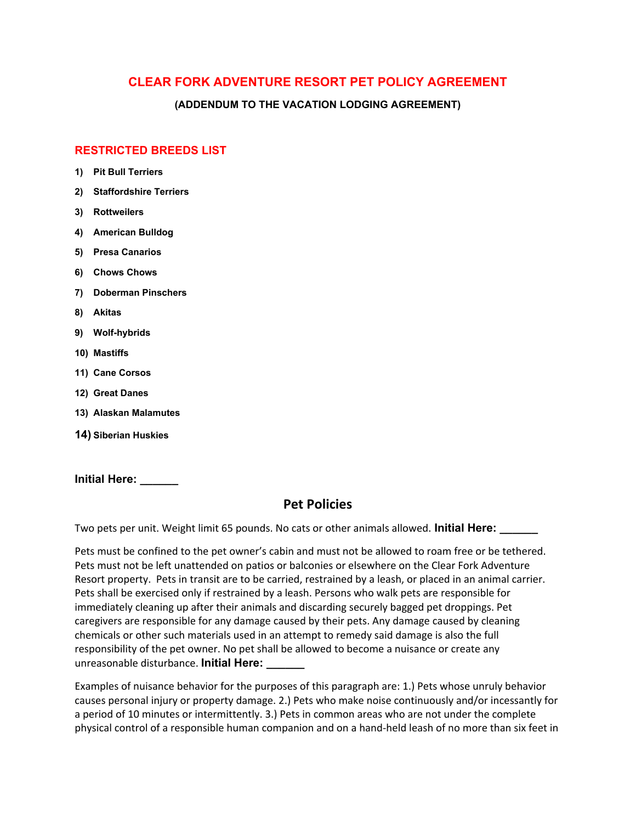## **CLEAR FORK ADVENTURE RESORT PET POLICY AGREEMENT**

**(ADDENDUM TO THE VACATION LODGING AGREEMENT)**

## **RESTRICTED BREEDS LIST**

- **1) Pit Bull Terriers**
- **2) Staffordshire Terriers**
- **3) Rottweilers**
- **4) American Bulldog**
- **5) Presa Canarios**
- **6) Chows Chows**
- **7) Doberman Pinschers**
- **8) Akitas**
- **9) Wolf-hybrids**
- **10) Mastiffs**
- **11) Cane Corsos**
- **12) Great Danes**
- **13) Alaskan Malamutes**
- **14) Siberian Huskies**

**Initial Here: \_\_\_\_\_\_**

## **Pet Policies**

Two pets per unit. Weight limit 65 pounds. No cats or other animals allowed. **Initial Here: \_\_\_\_\_\_**

Pets must be confined to the pet owner's cabin and must not be allowed to roam free or be tethered. Pets must not be left unattended on patios or balconies or elsewhere on the Clear Fork Adventure Resort property. Pets in transit are to be carried, restrained by a leash, or placed in an animal carrier. Pets shall be exercised only if restrained by a leash. Persons who walk pets are responsible for immediately cleaning up after their animals and discarding securely bagged pet droppings. Pet caregivers are responsible for any damage caused by their pets. Any damage caused by cleaning chemicals or other such materials used in an attempt to remedy said damage is also the full responsibility of the pet owner. No pet shall be allowed to become a nuisance or create any unreasonable disturbance. **Initial Here: \_\_\_\_\_\_**

Examples of nuisance behavior for the purposes of this paragraph are: 1.) Pets whose unruly behavior causes personal injury or property damage. 2.) Pets who make noise continuously and/or incessantly for a period of 10 minutes or intermittently. 3.) Pets in common areas who are not under the complete physical control of a responsible human companion and on a hand-held leash of no more than six feet in